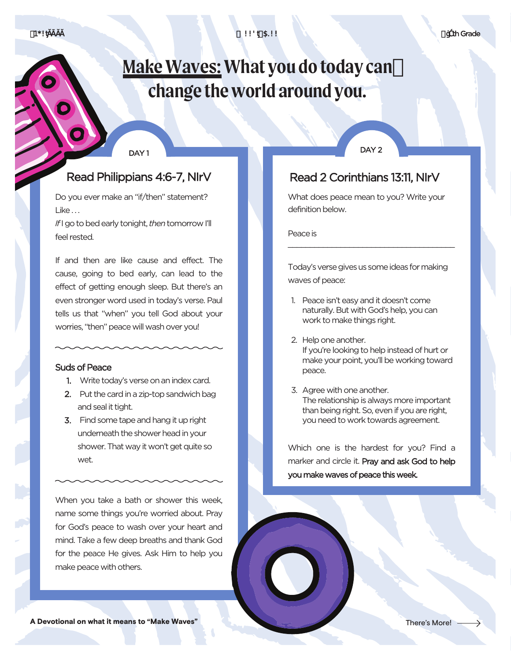1\*!ƫĂĀĂĂ !!'ƫ\$.!!

# **Make Waves: What you do today can change the world around you.**

#### DAY 1

### Read Philippians 4:6-7, NIrV

Do you ever make an "if/then" statement? Like. . .

*If*I go to bed early tonight, *then* tomorrow I'll feel rested.

If and then are like cause and effect. The cause, going to bed early, can lead to the effect of getting enough sleep. But there's an even stronger word used in today's verse. Paul tells us that "when" you tell God about your worries, "then" peace will wash over you!

#### Suds of Peace

- 1. Write today's verse on an index card.
- 2. Put the card in a zip-top sandwich bag and seal it tight.
- 3. Find some tape and hang it up right underneath the shower head in your shower. That way it won't get quite so wet.

When you take a bath or shower this week, name some things you're worried about. Pray for God's peace to wash over your heart and mind. Take a few deep breaths and thank God for the peace He gives. Ask Him to help you make peace with others.

DAY<sub>2</sub>

# Read 2 Corinthians 13:11, NIrV

What does peace mean to you? Write your definition below.

Peace is

Today's verse gives us some ideas for making waves of peace:

\_\_\_\_\_\_\_\_\_\_\_\_\_\_\_\_\_\_\_\_\_\_\_\_\_\_\_\_\_\_\_\_\_\_\_\_\_\_

- 1. Peace isn't easy and it doesn't come naturally. But with God's help, you can work to make things right.
- 2. Help one another. If you're looking to help instead of hurt or make your point, you'll be working toward peace.
- 3. Agree with one another. The relationship is always more important than being right. So, even if you are right, you need to work towards agreement.

Which one is the hardest for you? Find a marker and circle it. Pray and ask God to help you make waves of peace this week.

 $fB: 2$